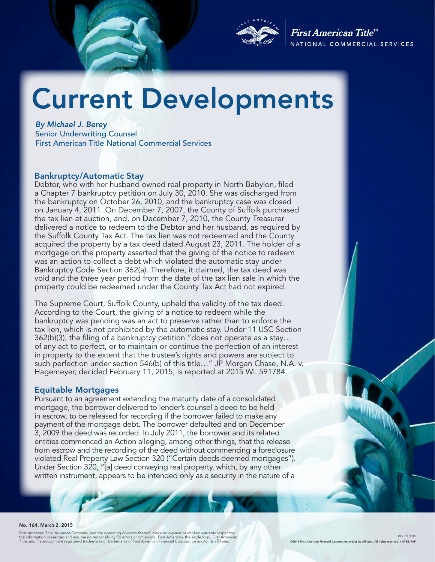

First American Title<sup>tM</sup> NATIONAL COMMERCIAL SERVICES

# Current Developments

*By Michael J. Berey*  Senior Underwriting Counsel First American Title National Commercial Services

#### Bankruptcy/Automatic Stay

Debtor, who with her husband owned real property in North Babylon, filed a Chapter 7 bankruptcy petition on July 30, 2010. She was discharged from the bankruptcy on October 26, 2010, and the bankruptcy case was closed on January 4, 2011. On December 7, 2007, the County of Suffolk purchased the tax lien at auction, and, on December 7, 2010, the County Treasurer delivered a notice to redeem to the Debtor and her husband, as required by the Suffolk County Tax Act. The tax lien was not redeemed and the County acquired the property by a tax deed dated August 23, 2011. The holder of a mortgage on the property asserted that the giving of the notice to redeem was an action to collect a debt which violated the automatic stay under Bankruptcy Code Section 362(a). Therefore, it claimed, the tax deed was void and the three year period from the date of the tax lien sale in which the property could be redeemed under the County Tax Act had not expired.

The Supreme Court, Suffolk County, upheld the validity of the tax deed. According to the Court, the giving of a notice to redeem while the bankruptcy was pending was an act to preserve rather than to enforce the tax lien, which is not prohibited by the automatic stay. Under 11 USC Section 362(b)(3), the filing of a bankruptcy petition "does not operate as a stay… of any act to perfect, or to maintain or continue the perfection of an interest in property to the extent that the trustee's rights and powers are subject to such perfection under section 546(b) of this title..." JP Morgan Chase, N.A. v. Hagemeyer, decided February 11, 2015, is reported at 2015 WL 591784.

#### Equitable Mortgages

Pursuant to an agreement extending the maturity date of a consolidated mortgage, the borrower delivered to lender's counsel a deed to be held in escrow, to be released for recording if the borrower failed to make any payment of the mortgage debt. The borrower defaulted and on December 3, 2009 the deed was recorded. In July 2011, the borrower and its related entities commenced an Action alleging, among other things, that the release from escrow and the recording of the deed without commencing a foreclosure violated Real Property Law Section 320 ("Certain deeds deemed mortgages"). Under Section 320, "[a] deed conveying real property, which, by any other written instrument, appears to be intended only as a security in the nature of a

#### No. 164. March 2, 2015

First American Title Insurance Company, and the operating divisions thereof, make no express or implied warranty respecting<br>the information presented and assume no responsibility for errors or omissions. First American, th

REV: 03, 2015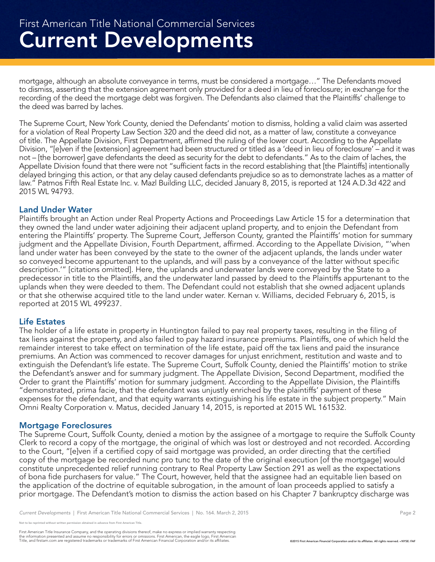mortgage, although an absolute conveyance in terms, must be considered a mortgage…" The Defendants moved to dismiss, asserting that the extension agreement only provided for a deed in lieu of foreclosure; in exchange for the recording of the deed the mortgage debt was forgiven. The Defendants also claimed that the Plaintiffs' challenge to the deed was barred by laches.

The Supreme Court, New York County, denied the Defendants' motion to dismiss, holding a valid claim was asserted for a violation of Real Property Law Section 320 and the deed did not, as a matter of law, constitute a conveyance of title. The Appellate Division, First Department, affirmed the ruling of the lower court. According to the Appellate Division, "[e]ven if the [extension] agreement had been structured or titled as a 'deed in lieu of foreclosure' – and it was not – [the borrower] gave defendants the deed as security for the debt to defendants." As to the claim of laches, the Appellate Division found that there were not "sufficient facts in the record establishing that [the Plaintiffs] intentionally delayed bringing this action, or that any delay caused defendants prejudice so as to demonstrate laches as a matter of law." Patmos Fifth Real Estate Inc. v. Mazl Building LLC, decided January 8, 2015, is reported at 124 A.D.3d 422 and 2015 WL 94793.

## Land Under Water

Plaintiffs brought an Action under Real Property Actions and Proceedings Law Article 15 for a determination that they owned the land under water adjoining their adjacent upland property, and to enjoin the Defendant from entering the Plaintiffs' property. The Supreme Court, Jefferson County, granted the Plaintiffs' motion for summary judgment and the Appellate Division, Fourth Department, affirmed. According to the Appellate Division, "'when land under water has been conveyed by the state to the owner of the adjacent uplands, the lands under water so conveyed become appurtenant to the uplands, and will pass by a conveyance of the latter without specific description.'" [citations omitted]. Here, the uplands and underwater lands were conveyed by the State to a predecessor in title to the Plaintiffs, and the underwater land passed by deed to the Plaintiffs appurtenant to the uplands when they were deeded to them. The Defendant could not establish that she owned adjacent uplands or that she otherwise acquired title to the land under water. Kernan v. Williams, decided February 6, 2015, is reported at 2015 WL 499237.

#### Life Estates

The holder of a life estate in property in Huntington failed to pay real property taxes, resulting in the filing of tax liens against the property, and also failed to pay hazard insurance premiums. Plaintiffs, one of which held the remainder interest to take effect on termination of the life estate, paid off the tax liens and paid the insurance premiums. An Action was commenced to recover damages for unjust enrichment, restitution and waste and to extinguish the Defendant's life estate. The Supreme Court, Suffolk County, denied the Plaintiffs' motion to strike the Defendant's answer and for summary judgment. The Appellate Division, Second Department, modified the Order to grant the Plaintiffs' motion for summary judgment. According to the Appellate Division, the Plaintiffs "demonstrated, prima facie, that the defendant was unjustly enriched by the plaintiffs' payment of these expenses for the defendant, and that equity warrants extinguishing his life estate in the subject property." Main Omni Realty Corporation v. Matus, decided January 14, 2015, is reported at 2015 WL 161532.

#### Mortgage Foreclosures

The Supreme Court, Suffolk County, denied a motion by the assignee of a mortgage to require the Suffolk County Clerk to record a copy of the mortgage, the original of which was lost or destroyed and not recorded. According to the Court, "[e]ven if a certified copy of said mortgage was provided, an order directing that the certified copy of the mortgage be recorded nunc pro tunc to the date of the original execution [of the mortgage] would constitute unprecedented relief running contrary to Real Property Law Section 291 as well as the expectations of bona fide purchasers for value." The Court, however, held that the assignee had an equitable lien based on the application of the doctrine of equitable subrogation, in the amount of loan proceeds applied to satisfy a prior mortgage. The Defendant's motion to dismiss the action based on his Chapter 7 bankruptcy discharge was

First American Title Insurance Company, and the operating divisions thereof, make no express or implied warranty respecting<br>the information presented and assume no responsibility for errors or omissions. First American fin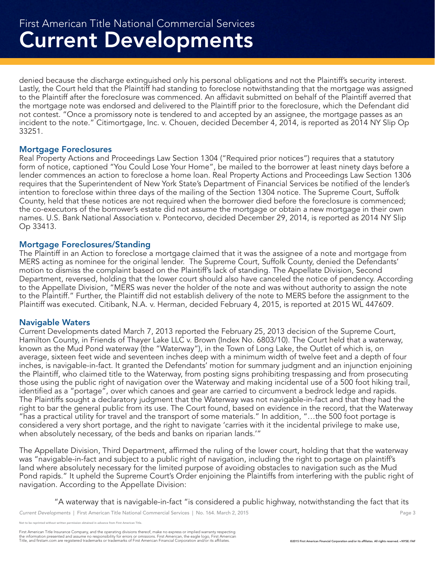denied because the discharge extinguished only his personal obligations and not the Plaintiff's security interest. Lastly, the Court held that the Plaintiff had standing to foreclose notwithstanding that the mortgage was assigned to the Plaintiff after the foreclosure was commenced. An affidavit submitted on behalf of the Plaintiff averred that the mortgage note was endorsed and delivered to the Plaintiff prior to the foreclosure, which the Defendant did not contest. "Once a promissory note is tendered to and accepted by an assignee, the mortgage passes as an incident to the note." Citimortgage, Inc. v. Chouen, decided December 4, 2014, is reported as 2014 NY Slip Op 33251.

#### Mortgage Foreclosures

Real Property Actions and Proceedings Law Section 1304 ("Required prior notices") requires that a statutory form of notice, captioned "You Could Lose Your Home", be mailed to the borrower at least ninety days before a lender commences an action to foreclose a home loan. Real Property Actions and Proceedings Law Section 1306 requires that the Superintendent of New York State's Department of Financial Services be notified of the lender's intention to foreclose within three days of the mailing of the Section 1304 notice. The Supreme Court, Suffolk County, held that these notices are not required when the borrower died before the foreclosure is commenced; the co-executors of the borrower's estate did not assume the mortgage or obtain a new mortgage in their own names. U.S. Bank National Association v. Pontecorvo, decided December 29, 2014, is reported as 2014 NY Slip Op 33413.

#### Mortgage Foreclosures/Standing

The Plaintiff in an Action to foreclose a mortgage claimed that it was the assignee of a note and mortgage from MERS acting as nominee for the original lender. The Supreme Court, Suffolk County, denied the Defendants' motion to dismiss the complaint based on the Plaintiff's lack of standing. The Appellate Division, Second Department, reversed, holding that the lower court should also have canceled the notice of pendency. According to the Appellate Division, "MERS was never the holder of the note and was without authority to assign the note to the Plaintiff." Further, the Plaintiff did not establish delivery of the note to MERS before the assignment to the Plaintiff was executed. Citibank, N.A. v. Herman, decided February 4, 2015, is reported at 2015 WL 447609.

#### Navigable Waters

Current Developments dated March 7, 2013 reported the February 25, 2013 decision of the Supreme Court, Hamilton County, in Friends of Thayer Lake LLC v. Brown (Index No. 6803/10). The Court held that a waterway, known as the Mud Pond waterway (the "Waterway"), in the Town of Long Lake, the Outlet of which is, on average, sixteen feet wide and seventeen inches deep with a minimum width of twelve feet and a depth of four inches, is navigable-in-fact. It granted the Defendants' motion for summary judgment and an injunction enjoining the Plaintiff, who claimed title to the Waterway, from posting signs prohibiting trespassing and from prosecuting those using the public right of navigation over the Waterway and making incidental use of a 500 foot hiking trail, identified as a "portage", over which canoes and gear are carried to circumvent a bedrock ledge and rapids. The Plaintiffs sought a declaratory judgment that the Waterway was not navigable-in-fact and that they had the right to bar the general public from its use. The Court found, based on evidence in the record, that the Waterway "has a practical utility for travel and the transport of some materials." In addition, "…the 500 foot portage is considered a very short portage, and the right to navigate 'carries with it the incidental privilege to make use, when absolutely necessary, of the beds and banks on riparian lands.'"

The Appellate Division, Third Department, affirmed the ruling of the lower court, holding that that the waterway was "navigable-in-fact and subject to a public right of navigation, including the right to portage on plaintiff's land where absolutely necessary for the limited purpose of avoiding obstacles to navigation such as the Mud Pond rapids." It upheld the Supreme Court's Order enjoining the Plaintiffs from interfering with the public right of navigation. According to the Appellate Division:

"A waterway that is navigable-in-fact "is considered a public highway, notwithstanding the fact that its

Not to be reprinted without written permission obtained in advance from First American Title.

First American Title Insurance Company, and the operating divisions thereof, make no express or implied warranty respecting<br>the information presented and assume no responsibility for errors or omissions. First American fin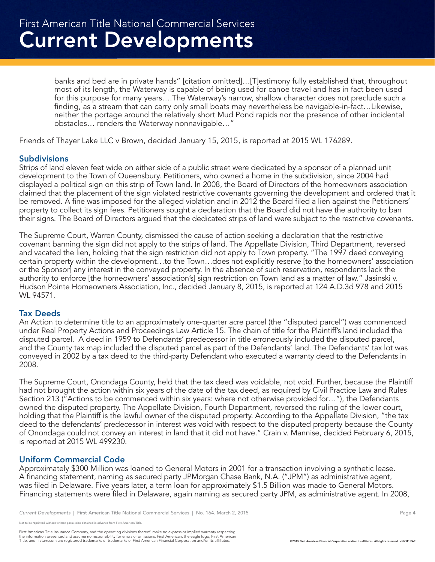banks and bed are in private hands" [citation omitted]…[T]estimony fully established that, throughout most of its length, the Waterway is capable of being used for canoe travel and has in fact been used for this purpose for many years….The Waterway's narrow, shallow character does not preclude such a finding, as a stream that can carry only small boats may nevertheless be navigable-in-fact…Likewise, neither the portage around the relatively short Mud Pond rapids nor the presence of other incidental obstacles… renders the Waterway nonnavigable…"

Friends of Thayer Lake LLC v Brown, decided January 15, 2015, is reported at 2015 WL 176289.

## **Subdivisions**

Strips of land eleven feet wide on either side of a public street were dedicated by a sponsor of a planned unit development to the Town of Queensbury. Petitioners, who owned a home in the subdivision, since 2004 had displayed a political sign on this strip of Town land. In 2008, the Board of Directors of the homeowners association claimed that the placement of the sign violated restrictive covenants governing the development and ordered that it be removed. A fine was imposed for the alleged violation and in 2012 the Board filed a lien against the Petitioners' property to collect its sign fees. Petitioners sought a declaration that the Board did not have the authority to ban their signs. The Board of Directors argued that the dedicated strips of land were subject to the restrictive covenants.

The Supreme Court, Warren County, dismissed the cause of action seeking a declaration that the restrictive covenant banning the sign did not apply to the strips of land. The Appellate Division, Third Department, reversed and vacated the lien, holding that the sign restriction did not apply to Town property. "The 1997 deed conveying certain property within the development…to the Town…does not explicitly reserve [to the homeowners' association or the Sponsor] any interest in the conveyed property. In the absence of such reservation, respondents lack the authority to enforce [the homeowners' association's] sign restriction on Town land as a matter of law." Jasinski v. Hudson Pointe Homeowners Association, Inc., decided January 8, 2015, is reported at 124 A.D.3d 978 and 2015 WL 94571.

#### Tax Deeds

An Action to determine title to an approximately one-quarter acre parcel (the "disputed parcel") was commenced under Real Property Actions and Proceedings Law Article 15. The chain of title for the Plaintiff's land included the disputed parcel. A deed in 1959 to Defendants' predecessor in title erroneously included the disputed parcel, and the County tax map included the disputed parcel as part of the Defendants' land. The Defendants' tax lot was conveyed in 2002 by a tax deed to the third-party Defendant who executed a warranty deed to the Defendants in 2008.

The Supreme Court, Onondaga County, held that the tax deed was voidable, not void. Further, because the Plaintiff had not brought the action within six years of the date of the tax deed, as required by Civil Practice Law and Rules Section 213 ("Actions to be commenced within six years: where not otherwise provided for…"), the Defendants owned the disputed property. The Appellate Division, Fourth Department, reversed the ruling of the lower court, holding that the Plaintiff is the lawful owner of the disputed property. According to the Appellate Division, "the tax deed to the defendants' predecessor in interest was void with respect to the disputed property because the County of Onondaga could not convey an interest in land that it did not have." Crain v. Mannise, decided February 6, 2015, is reported at 2015 WL 499230.

# Uniform Commercial Code

Approximately \$300 Million was loaned to General Motors in 2001 for a transaction involving a synthetic lease. A financing statement, naming as secured party JPMorgan Chase Bank, N.A. ("JPM") as administrative agent, was filed in Delaware. Five years later, a term loan for approximately \$1.5 Billion was made to General Motors. Financing statements were filed in Delaware, again naming as secured party JPM, as administrative agent. In 2008,

reprinted without written permission obtained in advance from First American Title.

First American Title Insurance Company, and the operating divisions thereof, make no express or implied warranty respecting<br>the information presented and assume no responsibility for errors or omissions. First American fin